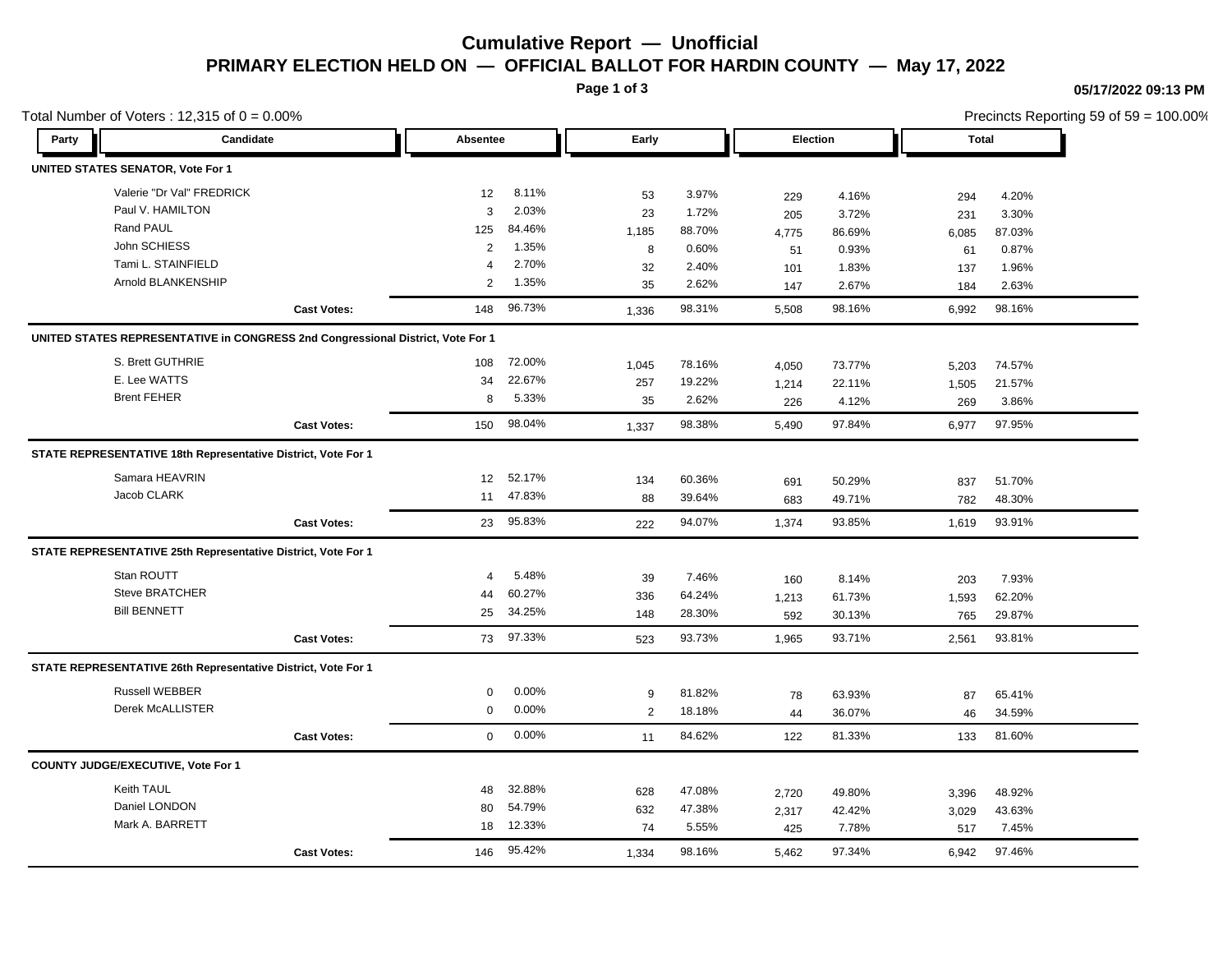# **Cumulative Report — Unofficial PRIMARY ELECTION HELD ON — OFFICIAL BALLOT FOR HARDIN COUNTY — May 17, 2022**

**Page 1 of 3**

### **05/17/2022 09:13 PM**

Precincts Reporting 59 of 59 = 100.00%

| Party<br>Candidate<br>Absentee<br>Early<br>Election<br>Total<br>UNITED STATES SENATOR, Vote For 1<br>Valerie "Dr Val" FREDRICK<br>8.11%<br>12<br>3.97%<br>53<br>4.16%<br>4.20%<br>229<br>294<br>Paul V. HAMILTON<br>2.03%<br>3<br>23<br>1.72%<br>3.72%<br>3.30%<br>205<br>231<br>Rand PAUL<br>84.46%<br>125<br>1,185<br>88.70%<br>86.69%<br>87.03%<br>4,775<br>6,085<br>John SCHIESS<br>1.35%<br>2<br>8<br>0.60%<br>0.93%<br>0.87%<br>51<br>61<br>Tami L. STAINFIELD<br>2.70%<br>4<br>32<br>2.40%<br>1.83%<br>1.96%<br>101<br>137<br>Arnold BLANKENSHIP<br>1.35%<br>$\overline{2}$<br>35<br>2.62%<br>2.67%<br>2.63%<br>147<br>184<br>96.73%<br><b>Cast Votes:</b><br>148<br>98.31%<br>98.16%<br>98.16%<br>5,508<br>6,992<br>1,336<br>UNITED STATES REPRESENTATIVE in CONGRESS 2nd Congressional District, Vote For 1<br>S. Brett GUTHRIE<br>72.00%<br>108<br>78.16%<br>1,045<br>73.77%<br>74.57%<br>4,050<br>5,203<br>E. Lee WATTS<br>22.67%<br>34<br>19.22%<br>257<br>22.11%<br>1,505<br>21.57%<br>1,214<br><b>Brent FEHER</b><br>5.33%<br>8<br>2.62%<br>35<br>4.12%<br>3.86%<br>269<br>226<br>98.04%<br>98.38%<br>97.84%<br>97.95%<br>150<br>6,977<br><b>Cast Votes:</b><br>5,490<br>1,337<br>STATE REPRESENTATIVE 18th Representative District, Vote For 1<br>Samara HEAVRIN<br>52.17%<br>12<br>60.36%<br>134<br>50.29%<br>51.70%<br>691<br>837<br>Jacob CLARK<br>11 47.83%<br>88<br>39.64%<br>49.71%<br>48.30%<br>683<br>782<br>23 95.83%<br><b>Cast Votes:</b><br>94.07%<br>1,374<br>93.85%<br>1,619<br>93.91%<br>222<br>STATE REPRESENTATIVE 25th Representative District, Vote For 1<br>Stan ROUTT<br>5.48%<br>$\overline{4}$<br>39<br>7.46%<br>8.14%<br>7.93%<br>160<br>203<br>Steve BRATCHER<br>60.27%<br>44<br>64.24%<br>336<br>61.73%<br>1,593<br>62.20%<br>1,213<br><b>Bill BENNETT</b><br>34.25%<br>25<br>28.30%<br>148<br>30.13%<br>29.87%<br>592<br>765<br>73 97.33%<br>93.73%<br>93.71%<br>93.81%<br><b>Cast Votes:</b><br>1,965<br>2,561<br>523<br>STATE REPRESENTATIVE 26th Representative District, Vote For 1<br><b>Russell WEBBER</b><br>0.00%<br>0<br>81.82%<br>9<br>63.93%<br>65.41%<br>78<br>87<br>Derek McALLISTER<br>$0.00\%$<br>0<br>2<br>18.18%<br>36.07%<br>44<br>34.59%<br>46<br>0.00%<br>$\mathbf{0}$<br><b>Cast Votes:</b><br>84.62%<br>122<br>81.33%<br>133<br>81.60%<br>11<br>COUNTY JUDGE/EXECUTIVE, Vote For 1<br>Keith TAUL<br>32.88%<br>48<br>47.08%<br>628<br>49.80%<br>48.92%<br>2,720<br>3,396<br>Daniel LONDON<br>54.79%<br>80<br>47.38%<br>632<br>42.42%<br>43.63%<br>3,029<br>2,317<br>Mark A. BARRETT<br>12.33%<br>18<br>74<br>5.55%<br>7.78%<br>7.45%<br>425<br>517 | Total Number of Voters: $12,315$ of $0 = 0.00\%$ |                    |     |        |       |        |       |        |       | Precincts Reporting 59 of 59 = 100.00% |  |  |
|-------------------------------------------------------------------------------------------------------------------------------------------------------------------------------------------------------------------------------------------------------------------------------------------------------------------------------------------------------------------------------------------------------------------------------------------------------------------------------------------------------------------------------------------------------------------------------------------------------------------------------------------------------------------------------------------------------------------------------------------------------------------------------------------------------------------------------------------------------------------------------------------------------------------------------------------------------------------------------------------------------------------------------------------------------------------------------------------------------------------------------------------------------------------------------------------------------------------------------------------------------------------------------------------------------------------------------------------------------------------------------------------------------------------------------------------------------------------------------------------------------------------------------------------------------------------------------------------------------------------------------------------------------------------------------------------------------------------------------------------------------------------------------------------------------------------------------------------------------------------------------------------------------------------------------------------------------------------------------------------------------------------------------------------------------------------------------------------------------------------------------------------------------------------------------------------------------------------------------------------------------------------------------------------------------------------------------------------------------------------------------------------------------------------------------------------------------------------------------------------------------------------------------------------------------------------------------------------------------------------|--------------------------------------------------|--------------------|-----|--------|-------|--------|-------|--------|-------|----------------------------------------|--|--|
|                                                                                                                                                                                                                                                                                                                                                                                                                                                                                                                                                                                                                                                                                                                                                                                                                                                                                                                                                                                                                                                                                                                                                                                                                                                                                                                                                                                                                                                                                                                                                                                                                                                                                                                                                                                                                                                                                                                                                                                                                                                                                                                                                                                                                                                                                                                                                                                                                                                                                                                                                                                                                   |                                                  |                    |     |        |       |        |       |        |       |                                        |  |  |
|                                                                                                                                                                                                                                                                                                                                                                                                                                                                                                                                                                                                                                                                                                                                                                                                                                                                                                                                                                                                                                                                                                                                                                                                                                                                                                                                                                                                                                                                                                                                                                                                                                                                                                                                                                                                                                                                                                                                                                                                                                                                                                                                                                                                                                                                                                                                                                                                                                                                                                                                                                                                                   |                                                  |                    |     |        |       |        |       |        |       |                                        |  |  |
|                                                                                                                                                                                                                                                                                                                                                                                                                                                                                                                                                                                                                                                                                                                                                                                                                                                                                                                                                                                                                                                                                                                                                                                                                                                                                                                                                                                                                                                                                                                                                                                                                                                                                                                                                                                                                                                                                                                                                                                                                                                                                                                                                                                                                                                                                                                                                                                                                                                                                                                                                                                                                   |                                                  |                    |     |        |       |        |       |        |       |                                        |  |  |
|                                                                                                                                                                                                                                                                                                                                                                                                                                                                                                                                                                                                                                                                                                                                                                                                                                                                                                                                                                                                                                                                                                                                                                                                                                                                                                                                                                                                                                                                                                                                                                                                                                                                                                                                                                                                                                                                                                                                                                                                                                                                                                                                                                                                                                                                                                                                                                                                                                                                                                                                                                                                                   |                                                  |                    |     |        |       |        |       |        |       |                                        |  |  |
|                                                                                                                                                                                                                                                                                                                                                                                                                                                                                                                                                                                                                                                                                                                                                                                                                                                                                                                                                                                                                                                                                                                                                                                                                                                                                                                                                                                                                                                                                                                                                                                                                                                                                                                                                                                                                                                                                                                                                                                                                                                                                                                                                                                                                                                                                                                                                                                                                                                                                                                                                                                                                   |                                                  |                    |     |        |       |        |       |        |       |                                        |  |  |
|                                                                                                                                                                                                                                                                                                                                                                                                                                                                                                                                                                                                                                                                                                                                                                                                                                                                                                                                                                                                                                                                                                                                                                                                                                                                                                                                                                                                                                                                                                                                                                                                                                                                                                                                                                                                                                                                                                                                                                                                                                                                                                                                                                                                                                                                                                                                                                                                                                                                                                                                                                                                                   |                                                  |                    |     |        |       |        |       |        |       |                                        |  |  |
|                                                                                                                                                                                                                                                                                                                                                                                                                                                                                                                                                                                                                                                                                                                                                                                                                                                                                                                                                                                                                                                                                                                                                                                                                                                                                                                                                                                                                                                                                                                                                                                                                                                                                                                                                                                                                                                                                                                                                                                                                                                                                                                                                                                                                                                                                                                                                                                                                                                                                                                                                                                                                   |                                                  |                    |     |        |       |        |       |        |       |                                        |  |  |
|                                                                                                                                                                                                                                                                                                                                                                                                                                                                                                                                                                                                                                                                                                                                                                                                                                                                                                                                                                                                                                                                                                                                                                                                                                                                                                                                                                                                                                                                                                                                                                                                                                                                                                                                                                                                                                                                                                                                                                                                                                                                                                                                                                                                                                                                                                                                                                                                                                                                                                                                                                                                                   |                                                  |                    |     |        |       |        |       |        |       |                                        |  |  |
|                                                                                                                                                                                                                                                                                                                                                                                                                                                                                                                                                                                                                                                                                                                                                                                                                                                                                                                                                                                                                                                                                                                                                                                                                                                                                                                                                                                                                                                                                                                                                                                                                                                                                                                                                                                                                                                                                                                                                                                                                                                                                                                                                                                                                                                                                                                                                                                                                                                                                                                                                                                                                   |                                                  |                    |     |        |       |        |       |        |       |                                        |  |  |
|                                                                                                                                                                                                                                                                                                                                                                                                                                                                                                                                                                                                                                                                                                                                                                                                                                                                                                                                                                                                                                                                                                                                                                                                                                                                                                                                                                                                                                                                                                                                                                                                                                                                                                                                                                                                                                                                                                                                                                                                                                                                                                                                                                                                                                                                                                                                                                                                                                                                                                                                                                                                                   |                                                  |                    |     |        |       |        |       |        |       |                                        |  |  |
|                                                                                                                                                                                                                                                                                                                                                                                                                                                                                                                                                                                                                                                                                                                                                                                                                                                                                                                                                                                                                                                                                                                                                                                                                                                                                                                                                                                                                                                                                                                                                                                                                                                                                                                                                                                                                                                                                                                                                                                                                                                                                                                                                                                                                                                                                                                                                                                                                                                                                                                                                                                                                   |                                                  |                    |     |        |       |        |       |        |       |                                        |  |  |
|                                                                                                                                                                                                                                                                                                                                                                                                                                                                                                                                                                                                                                                                                                                                                                                                                                                                                                                                                                                                                                                                                                                                                                                                                                                                                                                                                                                                                                                                                                                                                                                                                                                                                                                                                                                                                                                                                                                                                                                                                                                                                                                                                                                                                                                                                                                                                                                                                                                                                                                                                                                                                   |                                                  |                    |     |        |       |        |       |        |       |                                        |  |  |
|                                                                                                                                                                                                                                                                                                                                                                                                                                                                                                                                                                                                                                                                                                                                                                                                                                                                                                                                                                                                                                                                                                                                                                                                                                                                                                                                                                                                                                                                                                                                                                                                                                                                                                                                                                                                                                                                                                                                                                                                                                                                                                                                                                                                                                                                                                                                                                                                                                                                                                                                                                                                                   |                                                  |                    |     |        |       |        |       |        |       |                                        |  |  |
|                                                                                                                                                                                                                                                                                                                                                                                                                                                                                                                                                                                                                                                                                                                                                                                                                                                                                                                                                                                                                                                                                                                                                                                                                                                                                                                                                                                                                                                                                                                                                                                                                                                                                                                                                                                                                                                                                                                                                                                                                                                                                                                                                                                                                                                                                                                                                                                                                                                                                                                                                                                                                   |                                                  |                    |     |        |       |        |       |        |       |                                        |  |  |
|                                                                                                                                                                                                                                                                                                                                                                                                                                                                                                                                                                                                                                                                                                                                                                                                                                                                                                                                                                                                                                                                                                                                                                                                                                                                                                                                                                                                                                                                                                                                                                                                                                                                                                                                                                                                                                                                                                                                                                                                                                                                                                                                                                                                                                                                                                                                                                                                                                                                                                                                                                                                                   |                                                  |                    |     |        |       |        |       |        |       |                                        |  |  |
|                                                                                                                                                                                                                                                                                                                                                                                                                                                                                                                                                                                                                                                                                                                                                                                                                                                                                                                                                                                                                                                                                                                                                                                                                                                                                                                                                                                                                                                                                                                                                                                                                                                                                                                                                                                                                                                                                                                                                                                                                                                                                                                                                                                                                                                                                                                                                                                                                                                                                                                                                                                                                   |                                                  |                    |     |        |       |        |       |        |       |                                        |  |  |
|                                                                                                                                                                                                                                                                                                                                                                                                                                                                                                                                                                                                                                                                                                                                                                                                                                                                                                                                                                                                                                                                                                                                                                                                                                                                                                                                                                                                                                                                                                                                                                                                                                                                                                                                                                                                                                                                                                                                                                                                                                                                                                                                                                                                                                                                                                                                                                                                                                                                                                                                                                                                                   |                                                  |                    |     |        |       |        |       |        |       |                                        |  |  |
|                                                                                                                                                                                                                                                                                                                                                                                                                                                                                                                                                                                                                                                                                                                                                                                                                                                                                                                                                                                                                                                                                                                                                                                                                                                                                                                                                                                                                                                                                                                                                                                                                                                                                                                                                                                                                                                                                                                                                                                                                                                                                                                                                                                                                                                                                                                                                                                                                                                                                                                                                                                                                   |                                                  |                    |     |        |       |        |       |        |       |                                        |  |  |
|                                                                                                                                                                                                                                                                                                                                                                                                                                                                                                                                                                                                                                                                                                                                                                                                                                                                                                                                                                                                                                                                                                                                                                                                                                                                                                                                                                                                                                                                                                                                                                                                                                                                                                                                                                                                                                                                                                                                                                                                                                                                                                                                                                                                                                                                                                                                                                                                                                                                                                                                                                                                                   |                                                  |                    |     |        |       |        |       |        |       |                                        |  |  |
|                                                                                                                                                                                                                                                                                                                                                                                                                                                                                                                                                                                                                                                                                                                                                                                                                                                                                                                                                                                                                                                                                                                                                                                                                                                                                                                                                                                                                                                                                                                                                                                                                                                                                                                                                                                                                                                                                                                                                                                                                                                                                                                                                                                                                                                                                                                                                                                                                                                                                                                                                                                                                   |                                                  |                    |     |        |       |        |       |        |       |                                        |  |  |
|                                                                                                                                                                                                                                                                                                                                                                                                                                                                                                                                                                                                                                                                                                                                                                                                                                                                                                                                                                                                                                                                                                                                                                                                                                                                                                                                                                                                                                                                                                                                                                                                                                                                                                                                                                                                                                                                                                                                                                                                                                                                                                                                                                                                                                                                                                                                                                                                                                                                                                                                                                                                                   |                                                  |                    |     |        |       |        |       |        |       |                                        |  |  |
|                                                                                                                                                                                                                                                                                                                                                                                                                                                                                                                                                                                                                                                                                                                                                                                                                                                                                                                                                                                                                                                                                                                                                                                                                                                                                                                                                                                                                                                                                                                                                                                                                                                                                                                                                                                                                                                                                                                                                                                                                                                                                                                                                                                                                                                                                                                                                                                                                                                                                                                                                                                                                   |                                                  |                    |     |        |       |        |       |        |       |                                        |  |  |
|                                                                                                                                                                                                                                                                                                                                                                                                                                                                                                                                                                                                                                                                                                                                                                                                                                                                                                                                                                                                                                                                                                                                                                                                                                                                                                                                                                                                                                                                                                                                                                                                                                                                                                                                                                                                                                                                                                                                                                                                                                                                                                                                                                                                                                                                                                                                                                                                                                                                                                                                                                                                                   |                                                  |                    |     |        |       |        |       |        |       |                                        |  |  |
|                                                                                                                                                                                                                                                                                                                                                                                                                                                                                                                                                                                                                                                                                                                                                                                                                                                                                                                                                                                                                                                                                                                                                                                                                                                                                                                                                                                                                                                                                                                                                                                                                                                                                                                                                                                                                                                                                                                                                                                                                                                                                                                                                                                                                                                                                                                                                                                                                                                                                                                                                                                                                   |                                                  |                    |     |        |       |        |       |        |       |                                        |  |  |
|                                                                                                                                                                                                                                                                                                                                                                                                                                                                                                                                                                                                                                                                                                                                                                                                                                                                                                                                                                                                                                                                                                                                                                                                                                                                                                                                                                                                                                                                                                                                                                                                                                                                                                                                                                                                                                                                                                                                                                                                                                                                                                                                                                                                                                                                                                                                                                                                                                                                                                                                                                                                                   |                                                  |                    |     |        |       |        |       |        |       |                                        |  |  |
|                                                                                                                                                                                                                                                                                                                                                                                                                                                                                                                                                                                                                                                                                                                                                                                                                                                                                                                                                                                                                                                                                                                                                                                                                                                                                                                                                                                                                                                                                                                                                                                                                                                                                                                                                                                                                                                                                                                                                                                                                                                                                                                                                                                                                                                                                                                                                                                                                                                                                                                                                                                                                   |                                                  |                    |     |        |       |        |       |        |       |                                        |  |  |
|                                                                                                                                                                                                                                                                                                                                                                                                                                                                                                                                                                                                                                                                                                                                                                                                                                                                                                                                                                                                                                                                                                                                                                                                                                                                                                                                                                                                                                                                                                                                                                                                                                                                                                                                                                                                                                                                                                                                                                                                                                                                                                                                                                                                                                                                                                                                                                                                                                                                                                                                                                                                                   |                                                  |                    |     |        |       |        |       |        |       |                                        |  |  |
|                                                                                                                                                                                                                                                                                                                                                                                                                                                                                                                                                                                                                                                                                                                                                                                                                                                                                                                                                                                                                                                                                                                                                                                                                                                                                                                                                                                                                                                                                                                                                                                                                                                                                                                                                                                                                                                                                                                                                                                                                                                                                                                                                                                                                                                                                                                                                                                                                                                                                                                                                                                                                   |                                                  |                    |     |        |       |        |       |        |       |                                        |  |  |
|                                                                                                                                                                                                                                                                                                                                                                                                                                                                                                                                                                                                                                                                                                                                                                                                                                                                                                                                                                                                                                                                                                                                                                                                                                                                                                                                                                                                                                                                                                                                                                                                                                                                                                                                                                                                                                                                                                                                                                                                                                                                                                                                                                                                                                                                                                                                                                                                                                                                                                                                                                                                                   |                                                  |                    |     |        |       |        |       |        |       |                                        |  |  |
|                                                                                                                                                                                                                                                                                                                                                                                                                                                                                                                                                                                                                                                                                                                                                                                                                                                                                                                                                                                                                                                                                                                                                                                                                                                                                                                                                                                                                                                                                                                                                                                                                                                                                                                                                                                                                                                                                                                                                                                                                                                                                                                                                                                                                                                                                                                                                                                                                                                                                                                                                                                                                   |                                                  |                    |     |        |       |        |       |        |       |                                        |  |  |
|                                                                                                                                                                                                                                                                                                                                                                                                                                                                                                                                                                                                                                                                                                                                                                                                                                                                                                                                                                                                                                                                                                                                                                                                                                                                                                                                                                                                                                                                                                                                                                                                                                                                                                                                                                                                                                                                                                                                                                                                                                                                                                                                                                                                                                                                                                                                                                                                                                                                                                                                                                                                                   |                                                  |                    |     |        |       |        |       |        |       |                                        |  |  |
|                                                                                                                                                                                                                                                                                                                                                                                                                                                                                                                                                                                                                                                                                                                                                                                                                                                                                                                                                                                                                                                                                                                                                                                                                                                                                                                                                                                                                                                                                                                                                                                                                                                                                                                                                                                                                                                                                                                                                                                                                                                                                                                                                                                                                                                                                                                                                                                                                                                                                                                                                                                                                   |                                                  |                    |     |        |       |        |       |        |       |                                        |  |  |
|                                                                                                                                                                                                                                                                                                                                                                                                                                                                                                                                                                                                                                                                                                                                                                                                                                                                                                                                                                                                                                                                                                                                                                                                                                                                                                                                                                                                                                                                                                                                                                                                                                                                                                                                                                                                                                                                                                                                                                                                                                                                                                                                                                                                                                                                                                                                                                                                                                                                                                                                                                                                                   |                                                  | <b>Cast Votes:</b> | 146 | 95.42% | 1,334 | 98.16% | 5,462 | 97.34% | 6,942 | 97.46%                                 |  |  |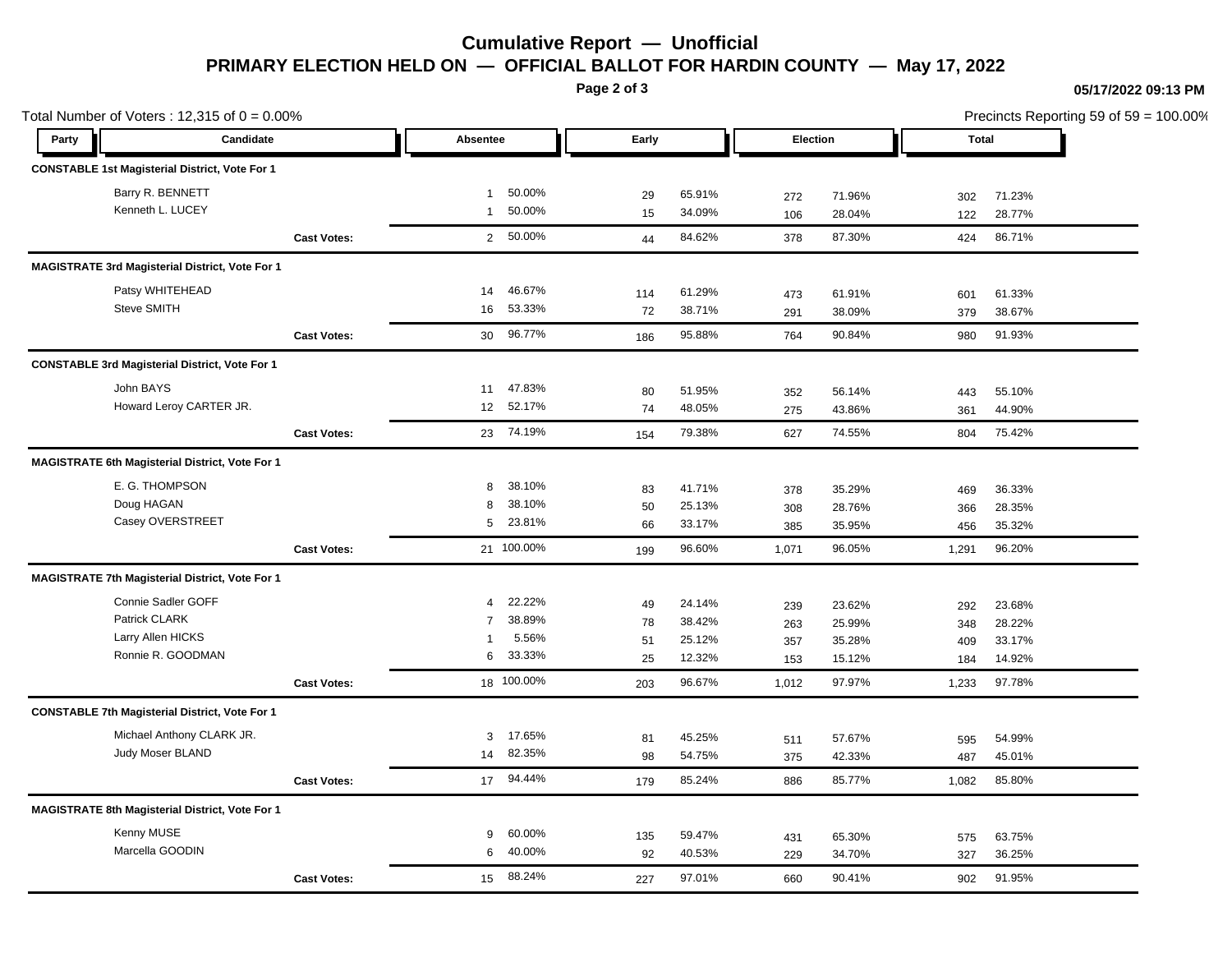# **Cumulative Report — Unofficial PRIMARY ELECTION HELD ON — OFFICIAL BALLOT FOR HARDIN COUNTY — May 17, 2022**

**Page 2 of 3**

### **05/17/2022 09:13 PM**

| Total Number of Voters: $12,315$ of $0 = 0.00\%$ |                                                        |                    |                |            |       |          |       | Precincts Reporting 59 of 59 = 100.00% |              |        |  |
|--------------------------------------------------|--------------------------------------------------------|--------------------|----------------|------------|-------|----------|-------|----------------------------------------|--------------|--------|--|
| Party                                            | Candidate                                              |                    | Absentee       |            | Early | Election |       |                                        | <b>Total</b> |        |  |
|                                                  | <b>CONSTABLE 1st Magisterial District, Vote For 1</b>  |                    |                |            |       |          |       |                                        |              |        |  |
|                                                  | Barry R. BENNETT                                       |                    | $\mathbf{1}$   | 50.00%     | 29    | 65.91%   | 272   | 71.96%                                 | 302          | 71.23% |  |
|                                                  | Kenneth L. LUCEY                                       |                    | $\mathbf{1}$   | 50.00%     | 15    | 34.09%   | 106   | 28.04%                                 | 122          | 28.77% |  |
|                                                  |                                                        | <b>Cast Votes:</b> |                | 2 50.00%   | 44    | 84.62%   | 378   | 87.30%                                 | 424          | 86.71% |  |
|                                                  | <b>MAGISTRATE 3rd Magisterial District, Vote For 1</b> |                    |                |            |       |          |       |                                        |              |        |  |
|                                                  | Patsy WHITEHEAD                                        |                    | 14             | 46.67%     | 114   | 61.29%   | 473   | 61.91%                                 | 601          | 61.33% |  |
|                                                  | Steve SMITH                                            |                    | 16             | 53.33%     | 72    | 38.71%   | 291   | 38.09%                                 | 379          | 38.67% |  |
|                                                  |                                                        | <b>Cast Votes:</b> | 30             | 96.77%     | 186   | 95.88%   | 764   | 90.84%                                 | 980          | 91.93% |  |
|                                                  | <b>CONSTABLE 3rd Magisterial District, Vote For 1</b>  |                    |                |            |       |          |       |                                        |              |        |  |
|                                                  | John BAYS                                              |                    | 11             | 47.83%     | 80    | 51.95%   | 352   | 56.14%                                 | 443          | 55.10% |  |
|                                                  | Howard Leroy CARTER JR.                                |                    | 12             | 52.17%     | 74    | 48.05%   | 275   | 43.86%                                 | 361          | 44.90% |  |
|                                                  |                                                        | <b>Cast Votes:</b> |                | 23 74.19%  | 154   | 79.38%   | 627   | 74.55%                                 | 804          | 75.42% |  |
|                                                  | <b>MAGISTRATE 6th Magisterial District, Vote For 1</b> |                    |                |            |       |          |       |                                        |              |        |  |
|                                                  | E. G. THOMPSON                                         |                    | 8              | 38.10%     | 83    | 41.71%   | 378   | 35.29%                                 | 469          | 36.33% |  |
|                                                  | Doug HAGAN                                             |                    | 8              | 38.10%     | 50    | 25.13%   | 308   | 28.76%                                 | 366          | 28.35% |  |
|                                                  | Casey OVERSTREET                                       |                    | 5              | 23.81%     | 66    | 33.17%   | 385   | 35.95%                                 | 456          | 35.32% |  |
|                                                  |                                                        | <b>Cast Votes:</b> |                | 21 100.00% | 199   | 96.60%   | 1,071 | 96.05%                                 | 1,291        | 96.20% |  |
|                                                  | <b>MAGISTRATE 7th Magisterial District, Vote For 1</b> |                    |                |            |       |          |       |                                        |              |        |  |
|                                                  | Connie Sadler GOFF                                     |                    | $\overline{4}$ | 22.22%     | 49    | 24.14%   | 239   | 23.62%                                 | 292          | 23.68% |  |
|                                                  | Patrick CLARK                                          |                    | $\overline{7}$ | 38.89%     | 78    | 38.42%   | 263   | 25.99%                                 | 348          | 28.22% |  |
|                                                  | Larry Allen HICKS                                      |                    | $\mathbf{1}$   | 5.56%      | 51    | 25.12%   | 357   | 35.28%                                 | 409          | 33.17% |  |
|                                                  | Ronnie R. GOODMAN                                      |                    | 6              | 33.33%     | 25    | 12.32%   | 153   | 15.12%                                 | 184          | 14.92% |  |
|                                                  |                                                        | <b>Cast Votes:</b> |                | 18 100.00% | 203   | 96.67%   | 1,012 | 97.97%                                 | 1,233        | 97.78% |  |
|                                                  | <b>CONSTABLE 7th Magisterial District, Vote For 1</b>  |                    |                |            |       |          |       |                                        |              |        |  |
|                                                  | Michael Anthony CLARK JR.                              |                    | 3              | 17.65%     | 81    | 45.25%   | 511   | 57.67%                                 | 595          | 54.99% |  |
|                                                  | Judy Moser BLAND                                       |                    | 14             | 82.35%     | 98    | 54.75%   | 375   | 42.33%                                 | 487          | 45.01% |  |
|                                                  |                                                        | <b>Cast Votes:</b> |                | 17 94.44%  | 179   | 85.24%   | 886   | 85.77%                                 | 1,082        | 85.80% |  |
|                                                  | MAGISTRATE 8th Magisterial District, Vote For 1        |                    |                |            |       |          |       |                                        |              |        |  |
|                                                  | Kenny MUSE                                             |                    | 9              | 60.00%     | 135   | 59.47%   | 431   | 65.30%                                 | 575          | 63.75% |  |
|                                                  | Marcella GOODIN                                        |                    | 6              | 40.00%     | 92    | 40.53%   | 229   | 34.70%                                 | 327          | 36.25% |  |
|                                                  |                                                        | <b>Cast Votes:</b> | 15             | 88.24%     |       | 97.01%   | 660   | 90.41%                                 | 902          | 91.95% |  |
|                                                  |                                                        |                    |                |            | 227   |          |       |                                        |              |        |  |